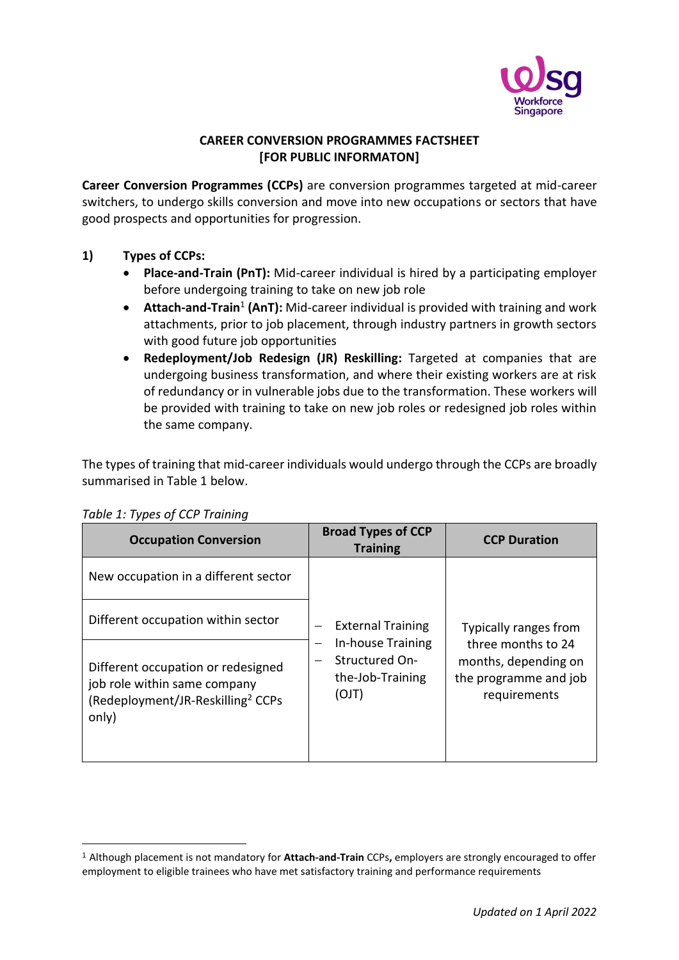

# **CAREER CONVERSION PROGRAMMES FACTSHEET [FOR PUBLIC INFORMATON]**

**Career Conversion Programmes (CCPs)** are conversion programmes targeted at mid-career switchers, to undergo skills conversion and move into new occupations or sectors that have good prospects and opportunities for progression.

# **1) Types of CCPs:**

- **Place-and-Train (PnT):** Mid-career individual is hired by a participating employer before undergoing training to take on new job role
- **Attach-and-Train<sup>1</sup> (AnT):** Mid-career individual is provided with training and work attachments, prior to job placement, through industry partners in growth sectors with good future job opportunities
- **Redeployment/Job Redesign (JR) Reskilling:** Targeted at companies that are undergoing business transformation, and where their existing workers are at risk of redundancy or in vulnerable jobs due to the transformation. These workers will be provided with training to take on new job roles or redesigned job roles within the same company.

The types of training that mid-career individuals would undergo through the CCPs are broadly summarised in Table 1 below.

| <b>Occupation Conversion</b>                                                                                                 | <b>Broad Types of CCP</b><br><b>Training</b>                                 | <b>CCP Duration</b>                                                                                          |  |
|------------------------------------------------------------------------------------------------------------------------------|------------------------------------------------------------------------------|--------------------------------------------------------------------------------------------------------------|--|
| New occupation in a different sector                                                                                         |                                                                              |                                                                                                              |  |
| Different occupation within sector                                                                                           | <b>External Training</b>                                                     | Typically ranges from<br>three months to 24<br>months, depending on<br>the programme and job<br>requirements |  |
| Different occupation or redesigned<br>job role within same company<br>(Redeployment/JR-Reskilling <sup>2</sup> CCPs<br>only) | In-house Training<br>-<br><b>Structured On-</b><br>the-Job-Training<br>(OJT) |                                                                                                              |  |

# *Table 1: Types of CCP Training*

<sup>1</sup> Although placement is not mandatory for **Attach-and-Train** CCPs**,** employers are strongly encouraged to offer employment to eligible trainees who have met satisfactory training and performance requirements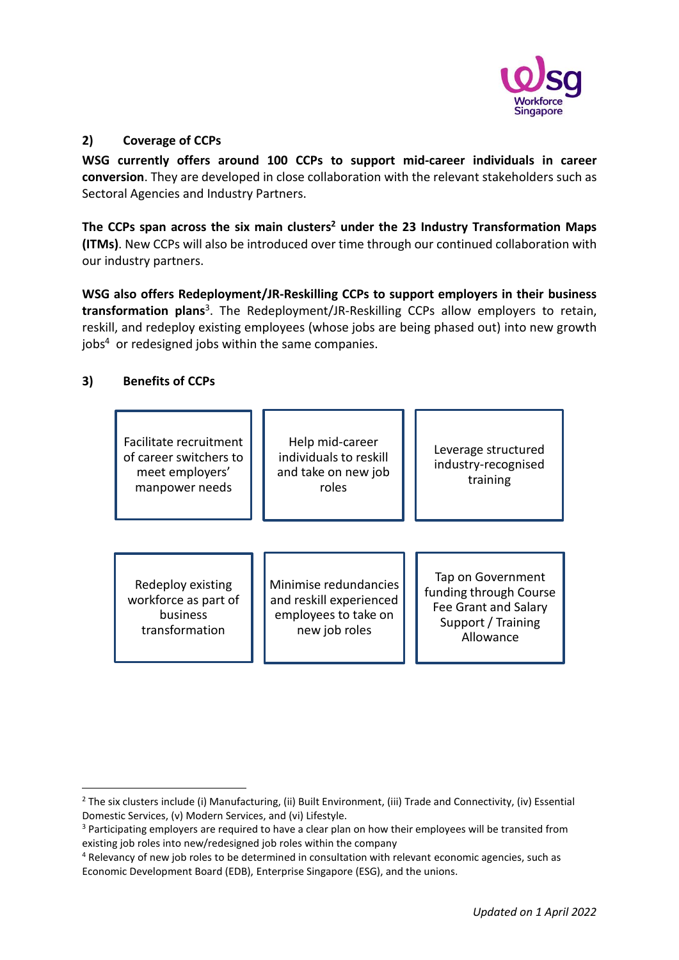

### **2) Coverage of CCPs**

**WSG currently offers around 100 CCPs to support mid-career individuals in career conversion**. They are developed in close collaboration with the relevant stakeholders such as Sectoral Agencies and Industry Partners.

**The CCPs span across the six main clusters<sup>2</sup> under the 23 Industry Transformation Maps (ITMs)**. New CCPs will also be introduced over time through our continued collaboration with our industry partners.

**WSG also offers Redeployment/JR-Reskilling CCPs to support employers in their business transformation plans** 3 . The Redeployment/JR-Reskilling CCPs allow employers to retain, reskill, and redeploy existing employees (whose jobs are being phased out) into new growth jobs<sup>4</sup> or redesigned jobs within the same companies.

# **3) Benefits of CCPs**

| Facilitate recruitment<br>of career switchers to<br>meet employers'<br>manpower needs | Help mid-career<br>individuals to reskill<br>and take on new job<br>roles                 | Leverage structured<br>industry-recognised<br>training                                                 |
|---------------------------------------------------------------------------------------|-------------------------------------------------------------------------------------------|--------------------------------------------------------------------------------------------------------|
| Redeploy existing<br>workforce as part of<br>business<br>transformation               | Minimise redundancies<br>and reskill experienced<br>employees to take on<br>new job roles | Tap on Government<br>funding through Course<br>Fee Grant and Salary<br>Support / Training<br>Allowance |

<sup>&</sup>lt;sup>2</sup> The six clusters include (i) Manufacturing, (ii) Built Environment, (iii) Trade and Connectivity, (iv) Essential Domestic Services, (v) Modern Services, and (vi) Lifestyle.

<sup>&</sup>lt;sup>3</sup> Participating employers are required to have a clear plan on how their employees will be transited from existing job roles into new/redesigned job roles within the company

<sup>4</sup> Relevancy of new job roles to be determined in consultation with relevant economic agencies, such as Economic Development Board (EDB), Enterprise Singapore (ESG), and the unions.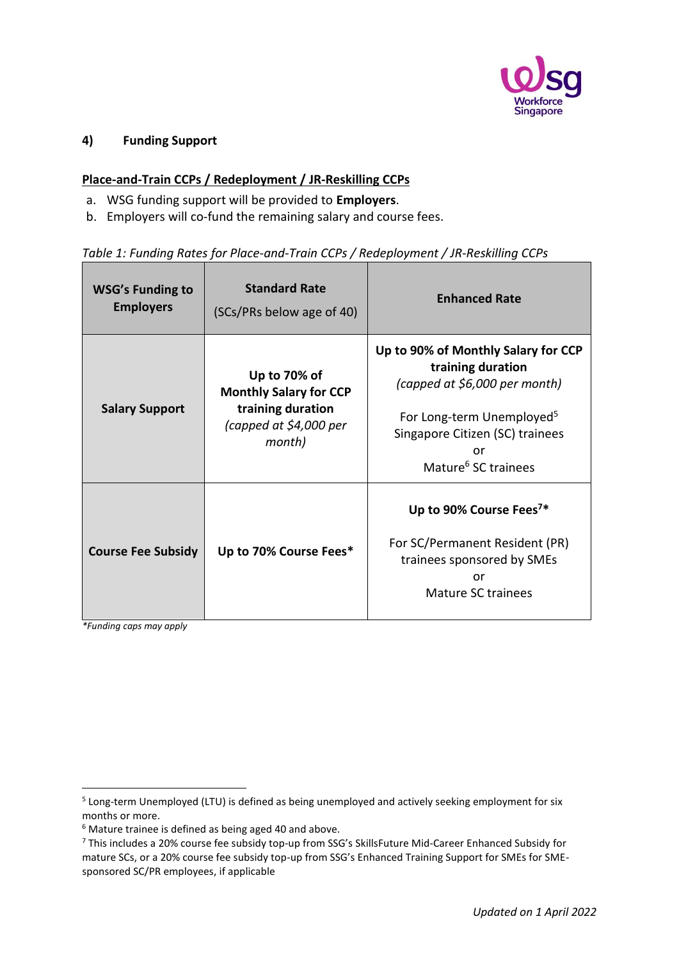

### **4) Funding Support**

### **Place-and-Train CCPs / Redeployment / JR-Reskilling CCPs**

- a. WSG funding support will be provided to **Employers**.
- b. Employers will co-fund the remaining salary and course fees.

# *Table 1: Funding Rates for Place-and-Train CCPs / Redeployment / JR-Reskilling CCPs*

| <b>WSG's Funding to</b><br><b>Employers</b> | <b>Standard Rate</b><br>(SCs/PRs below age of 40)                                                      | <b>Enhanced Rate</b>                                                                                                                                                                                           |
|---------------------------------------------|--------------------------------------------------------------------------------------------------------|----------------------------------------------------------------------------------------------------------------------------------------------------------------------------------------------------------------|
| <b>Salary Support</b>                       | Up to 70% of<br><b>Monthly Salary for CCP</b><br>training duration<br>(capped at \$4,000 per<br>month) | Up to 90% of Monthly Salary for CCP<br>training duration<br>(capped at \$6,000 per month)<br>For Long-term Unemployed <sup>5</sup><br>Singapore Citizen (SC) trainees<br>or<br>Mature <sup>6</sup> SC trainees |
| <b>Course Fee Subsidy</b>                   | Up to 70% Course Fees*                                                                                 | Up to 90% Course Fees <sup>7*</sup><br>For SC/Permanent Resident (PR)<br>trainees sponsored by SMEs<br>or<br>Mature SC trainees                                                                                |

*\*Funding caps may apply* 

<sup>&</sup>lt;sup>5</sup> Long-term Unemployed (LTU) is defined as being unemployed and actively seeking employment for six months or more.

<sup>6</sup> Mature trainee is defined as being aged 40 and above.

<sup>7</sup> This includes a 20% course fee subsidy top-up from SSG's SkillsFuture Mid-Career Enhanced Subsidy for mature SCs, or a 20% course fee subsidy top-up from SSG's Enhanced Training Support for SMEs for SMEsponsored SC/PR employees, if applicable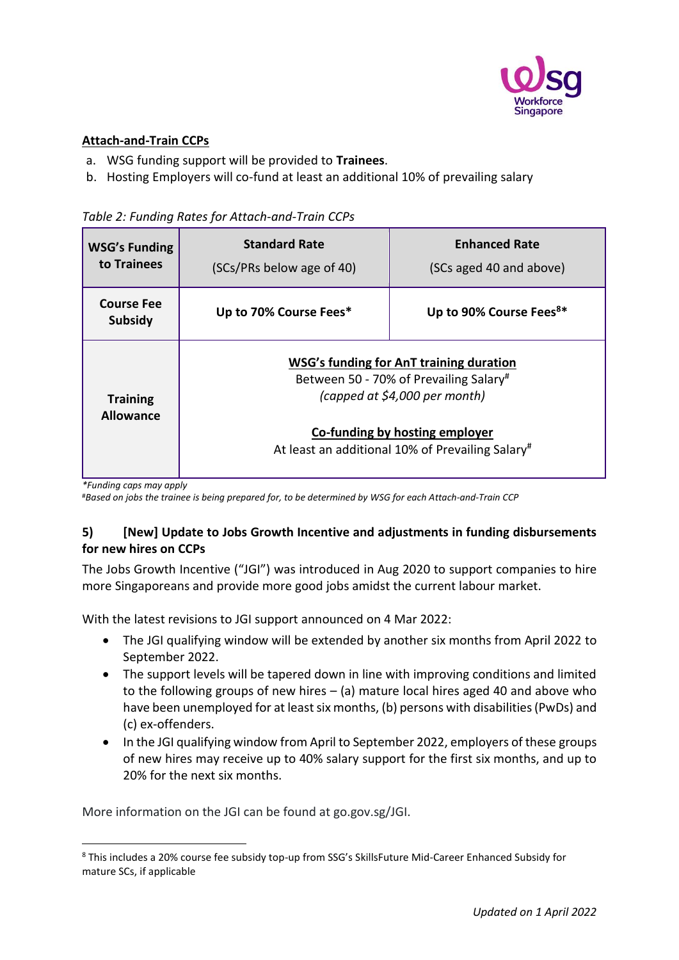

# **Attach-and-Train CCPs**

- a. WSG funding support will be provided to **Trainees**.
- b. Hosting Employers will co-fund at least an additional 10% of prevailing salary

|  | Table 2: Funding Rates for Attach-and-Train CCPs |  |
|--|--------------------------------------------------|--|
|  |                                                  |  |

| <b>WSG's Funding</b><br>to Trainees | <b>Standard Rate</b><br>(SCs/PRs below age of 40)                                                                                                                                                        | <b>Enhanced Rate</b><br>(SCs aged 40 and above) |
|-------------------------------------|----------------------------------------------------------------------------------------------------------------------------------------------------------------------------------------------------------|-------------------------------------------------|
| <b>Course Fee</b><br><b>Subsidy</b> | Up to 70% Course Fees*                                                                                                                                                                                   | Up to 90% Course Fees <sup>8*</sup>             |
| <b>Training</b><br><b>Allowance</b> | WSG's funding for AnT training duration<br>Between 50 - 70% of Prevailing Salary#<br>(capped at \$4,000 per month)<br>Co-funding by hosting employer<br>At least an additional 10% of Prevailing Salary# |                                                 |

*\*Funding caps may apply*

#*Based on jobs the trainee is being prepared for, to be determined by WSG for each Attach-and-Train CCP*

# **5) [New] Update to Jobs Growth Incentive and adjustments in funding disbursements for new hires on CCPs**

The Jobs Growth Incentive ("JGI") was introduced in Aug 2020 to support companies to hire more Singaporeans and provide more good jobs amidst the current labour market.

With the latest revisions to JGI support announced on 4 Mar 2022:

- The JGI qualifying window will be extended by another six months from April 2022 to September 2022.
- The support levels will be tapered down in line with improving conditions and limited to the following groups of new hires – (a) mature local hires aged 40 and above who have been unemployed for at least six months, (b) persons with disabilities (PwDs) and (c) ex-offenders.
- In the JGI qualifying window from April to September 2022, employers of these groups of new hires may receive up to 40% salary support for the first six months, and up to 20% for the next six months.

More information on the JGI can be found at go.gov.sg/JGI.

<sup>8</sup> This includes a 20% course fee subsidy top-up from SSG's SkillsFuture Mid-Career Enhanced Subsidy for mature SCs, if applicable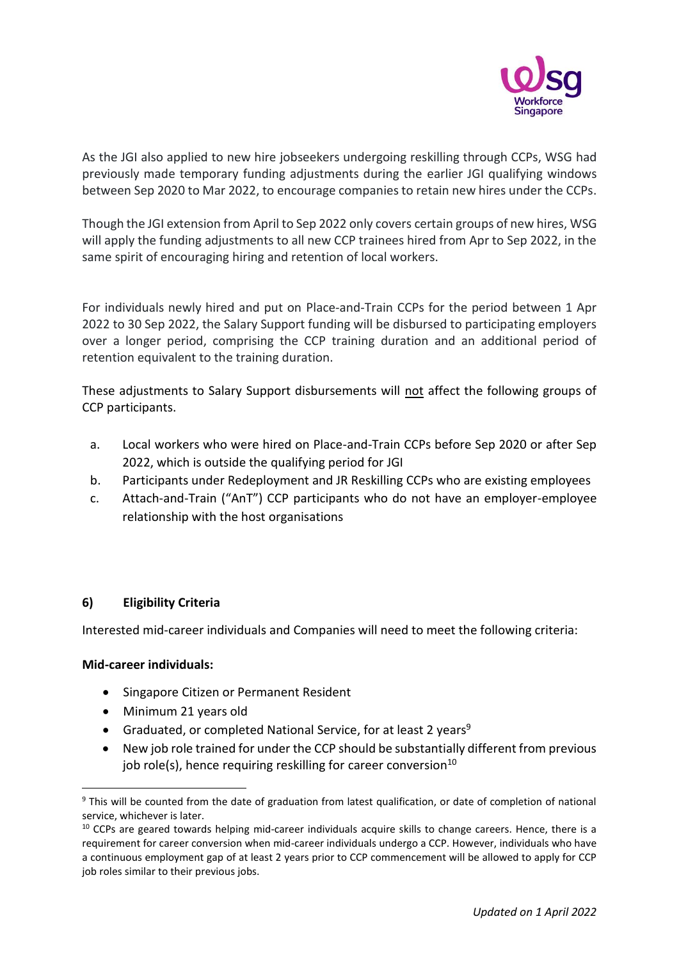

As the JGI also applied to new hire jobseekers undergoing reskilling through CCPs, WSG had previously made temporary funding adjustments during the earlier JGI qualifying windows between Sep 2020 to Mar 2022, to encourage companies to retain new hires under the CCPs.

Though the JGI extension from April to Sep 2022 only covers certain groups of new hires, WSG will apply the funding adjustments to all new CCP trainees hired from Apr to Sep 2022, in the same spirit of encouraging hiring and retention of local workers.

For individuals newly hired and put on Place-and-Train CCPs for the period between 1 Apr 2022 to 30 Sep 2022, the Salary Support funding will be disbursed to participating employers over a longer period, comprising the CCP training duration and an additional period of retention equivalent to the training duration.

These adjustments to Salary Support disbursements will not affect the following groups of CCP participants.

- a. Local workers who were hired on Place-and-Train CCPs before Sep 2020 or after Sep 2022, which is outside the qualifying period for JGI
- b. Participants under Redeployment and JR Reskilling CCPs who are existing employees
- c. Attach-and-Train ("AnT") CCP participants who do not have an employer-employee relationship with the host organisations

# **6) Eligibility Criteria**

Interested mid-career individuals and Companies will need to meet the following criteria:

# **Mid-career individuals:**

- Singapore Citizen or Permanent Resident
- Minimum 21 years old
- Graduated, or completed National Service, for at least 2 years<sup>9</sup>
- New job role trained for under the CCP should be substantially different from previous job role(s), hence requiring reskilling for career conversion<sup>10</sup>

<sup>&</sup>lt;sup>9</sup> This will be counted from the date of graduation from latest qualification, or date of completion of national service, whichever is later.

<sup>&</sup>lt;sup>10</sup> CCPs are geared towards helping mid-career individuals acquire skills to change careers. Hence, there is a requirement for career conversion when mid-career individuals undergo a CCP. However, individuals who have a continuous employment gap of at least 2 years prior to CCP commencement will be allowed to apply for CCP job roles similar to their previous jobs.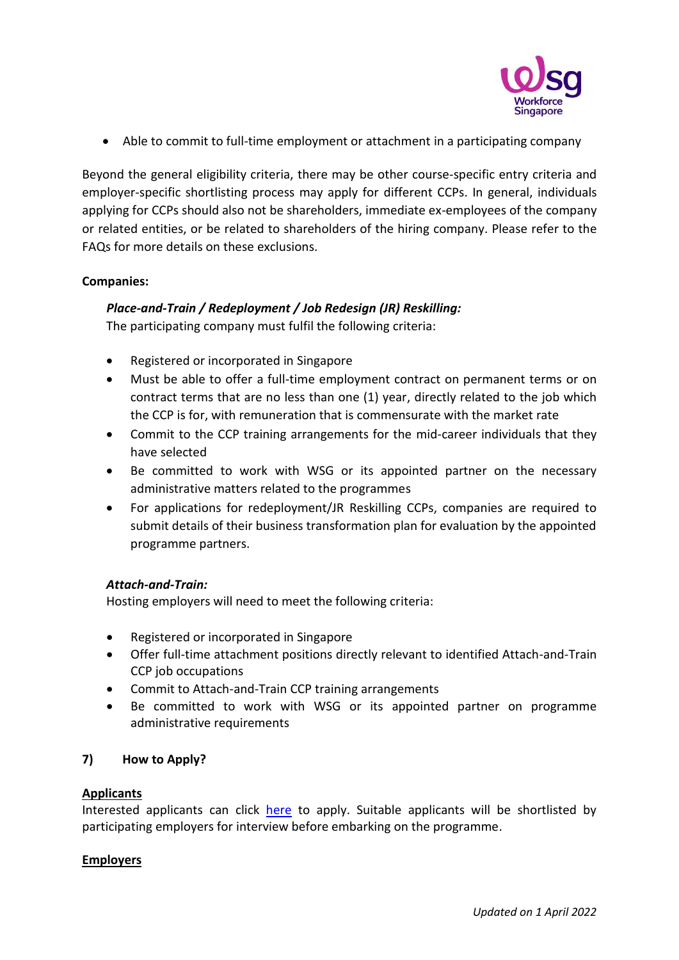

• Able to commit to full-time employment or attachment in a participating company

Beyond the general eligibility criteria, there may be other course-specific entry criteria and employer-specific shortlisting process may apply for different CCPs. In general, individuals applying for CCPs should also not be shareholders, immediate ex-employees of the company or related entities, or be related to shareholders of the hiring company. Please refer to the FAQs for more details on these exclusions.

# **Companies:**

# *Place-and-Train / Redeployment / Job Redesign (JR) Reskilling:*

The participating company must fulfil the following criteria:

- Registered or incorporated in Singapore
- Must be able to offer a full-time employment contract on permanent terms or on contract terms that are no less than one (1) year, directly related to the job which the CCP is for, with remuneration that is commensurate with the market rate
- Commit to the CCP training arrangements for the mid-career individuals that they have selected
- Be committed to work with WSG or its appointed partner on the necessary administrative matters related to the programmes
- For applications for redeployment/JR Reskilling CCPs, companies are required to submit details of their business transformation plan for evaluation by the appointed programme partners.

# *Attach-and-Train:*

Hosting employers will need to meet the following criteria:

- Registered or incorporated in Singapore
- Offer full-time attachment positions directly relevant to identified Attach-and-Train CCP job occupations
- Commit to Attach-and-Train CCP training arrangements
- Be committed to work with WSG or its appointed partner on programme administrative requirements

# **7) How to Apply?**

### **Applicants**

Interested applicants can click [here](http://www.wsg.gov.sg/programmes-and-initiatives/career-conversion-programmes-individuals.html) to apply. Suitable applicants will be shortlisted by participating employers for interview before embarking on the programme.

### **Employers**